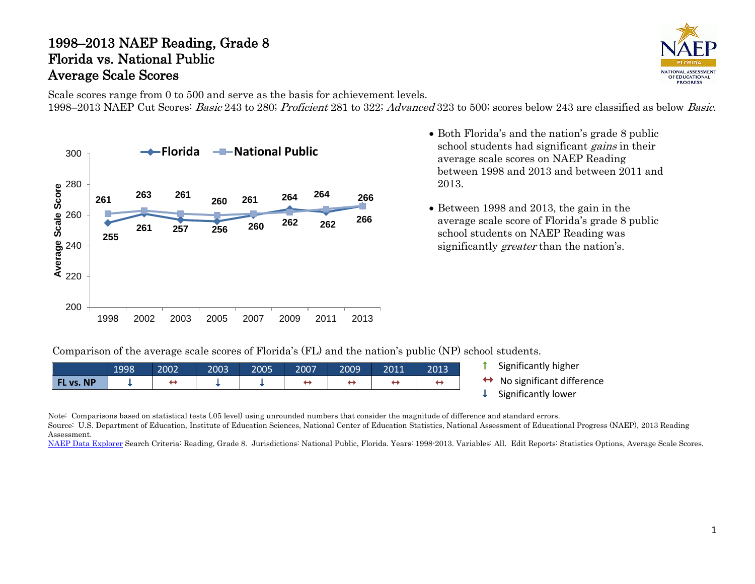## 1998–2013 NAEP Reading, Grade 8 Florida vs. National Public Average Scale Scores



Scale scores range from 0 to 500 and serve as the basis for achievement levels. 1998–2013 NAEP Cut Scores: Basic 243 to 280; Proficient 281 to 322; Advanced 323 to 500; scores below 243 are classified as below Basic.



- Both Florida's and the nation's grade 8 public school students had significant gains in their average scale scores on NAEP Reading between 1998 and 2013 and between 2011 and 2013.
- Between 1998 and 2013, the gain in the average scale score of Florida's grade 8 public school students on NAEP Reading was significantly *greater* than the nation's.

Comparison of the average scale scores of Florida's (FL) and the nation's public (NP) school students.

|                  | 1998 | 2002 | 2003 | 2005 | 2007 | 2009 | 2011 | 2013 | Significantly higher      |
|------------------|------|------|------|------|------|------|------|------|---------------------------|
| <b>FL vs. NP</b> |      | ↔    |      |      |      |      | ⊷    |      | No significant difference |
|                  |      |      |      |      |      |      |      |      | Significantly lower       |

Note: Comparisons based on statistical tests (.05 level) using unrounded numbers that consider the magnitude of difference and standard errors.

Source: U.S. Department of Education, Institute of Education Sciences, National Center of Education Statistics, National Assessment of Educational Progress (NAEP), 2013 Reading Assessment.

[NAEP Data Explorer](http://nces.ed.gov/nationsreportcard/naepdata/) Search Criteria: Reading, Grade 8. Jurisdictions: National Public, Florida. Years: 1998-2013. Variables: All. Edit Reports: Statistics Options, Average Scale Scores.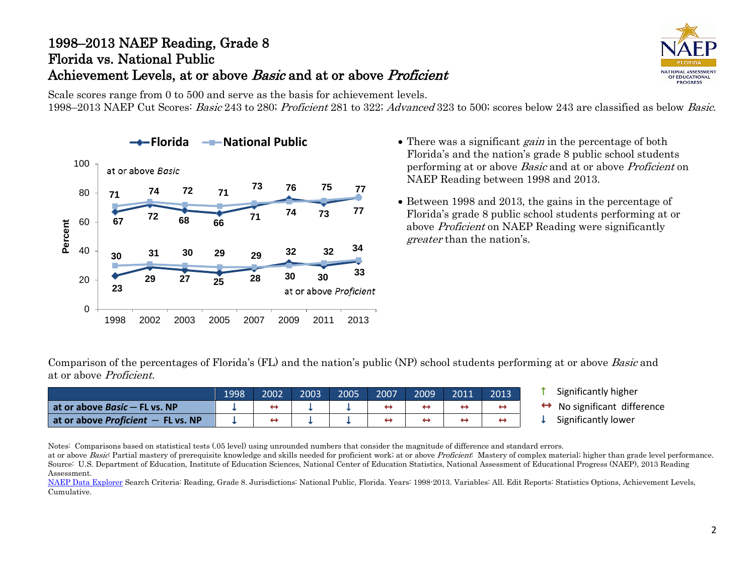## 1998–2013 NAEP Reading, Grade 8 Florida vs. National Public Achievement Levels, at or above *Basic* and at or above *Proficient*

NATIONAL ASSESSMENT OF EDUCATIONAL **PROGRESS** 

Scale scores range from 0 to 500 and serve as the basis for achievement levels. 1998–2013 NAEP Cut Scores: Basic 243 to 280; Proficient 281 to 322; Advanced 323 to 500; scores below 243 are classified as below Basic.



- **Florida FROM** Public  **There was a significant gain in the percentage of both <b>F** Florida's and the nation's grade 8 public school students performing at or above Basic and at or above Proficient on NAEP Reading between 1998 and 2013.
	- Between 1998 and 2013, the gains in the percentage of Florida's grade 8 public school students performing at or above Proficient on NAEP Reading were significantly greater than the nation's.

Comparison of the percentages of Florida's (FL) and the nation's public (NP) school students performing at or above Basic and at or above Proficient.

|                                             | 1998 | 2002 | 2003 | 2005 | 2007 | 2009 | 2011 | 2013 |
|---------------------------------------------|------|------|------|------|------|------|------|------|
| at or above <i>Basic</i> – FL vs. NP        |      |      |      |      |      |      |      |      |
| at or above <i>Proficient</i> $-$ FL vs. NP |      |      |      |      |      |      |      |      |

- Significantly higher
- $\leftrightarrow$  No significant difference<br>  $\downarrow$  Significantly lower
- 

Notes: Comparisons based on statistical tests (.05 level) using unrounded numbers that consider the magnitude of difference and standard errors.

at or above Basic Partial mastery of prerequisite knowledge and skills needed for proficient work; at or above Proficient: Mastery of complex material; higher than grade level performance. Source: U.S. Department of Education, Institute of Education Sciences, National Center of Education Statistics, National Assessment of Educational Progress (NAEP), 2013 Reading Assessment.

[NAEP Data Explorer](http://nces.ed.gov/nationsreportcard/naepdata/) Search Criteria: Reading, Grade 8. Jurisdictions: National Public, Florida. Years: 1998-2013. Variables: All. Edit Reports: Statistics Options, Achievement Levels, Cumulative.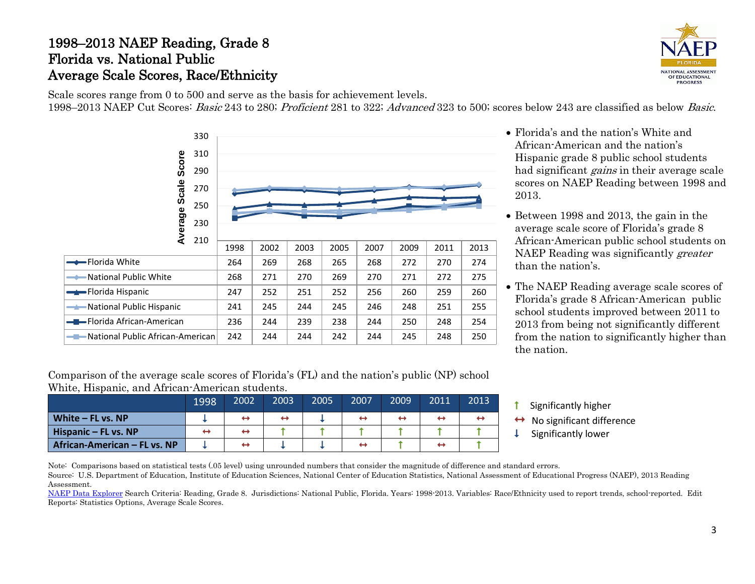## 1998–2013 NAEP Reading, Grade 8 Florida vs. National Public Average Scale Scores, Race/Ethnicity



Scale scores range from 0 to 500 and serve as the basis for achievement levels. 1998–2013 NAEP Cut Scores: Basic 243 to 280; Proficient 281 to 322; Advanced 323 to 500; scores below 243 are classified as below Basic.



- Florida's and the nation's White and African-American and the nation's Hispanic grade 8 public school students had significant *gains* in their average scale scores on NAEP Reading between 1998 and 2013.
- Between 1998 and 2013, the gain in the average scale score of Florida's grade 8 African-American public school students on NAEP Reading was significantly greater than the nation's.
- The NAEP Reading average scale scores of Florida's grade 8 African-American public school students improved between 2011 to 2013 from being not significantly different from the nation to significantly higher than the nation.

Comparison of the average scale scores of Florida's (FL) and the nation's public (NP) school White, Hispanic, and African-American students.

|                              | 1998 | 2002              | 2003 | 2005 | 2007              | 2009 | 2011 | 2013 |
|------------------------------|------|-------------------|------|------|-------------------|------|------|------|
| White - FL vs. NP            |      | $\leftrightarrow$ |      |      | ↔                 | ↔    | ↔    |      |
| Hispanic - FL vs. NP         | ↔    | ↔                 |      |      |                   |      |      |      |
| African-American - FL vs. NP |      | ↔                 |      |      | $\leftrightarrow$ |      | ↔    |      |

- **1** Significantly higher
- $\leftrightarrow$  No significant difference<br>  $\downarrow$  Significantly lower
	-

Note: Comparisons based on statistical tests (.05 level) using unrounded numbers that consider the magnitude of difference and standard errors.

Source: U.S. Department of Education, Institute of Education Sciences, National Center of Education Statistics, National Assessment of Educational Progress (NAEP), 2013 Reading Assessment.

[NAEP Data Explorer](http://nces.ed.gov/nationsreportcard/naepdata/) Search Criteria: Reading, Grade 8. Jurisdictions: National Public, Florida. Years: 1998-2013. Variables: Race/Ethnicity used to report trends, school-reported. Edit Reports: Statistics Options, Average Scale Scores.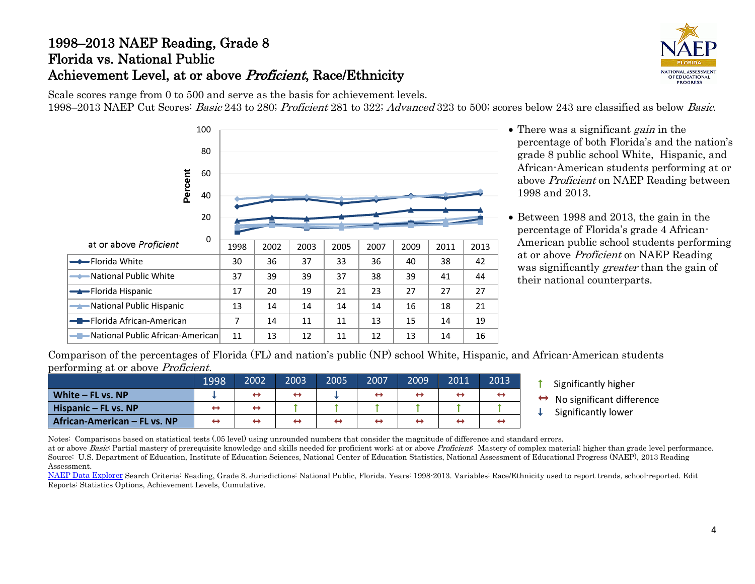# 1998–2013 NAEP Reading, Grade 8 Florida vs. National Public Achievement Level, at or above *Proficient*, Race/Ethnicity



Scale scores range from 0 to 500 and serve as the basis for achievement levels. 1998–2013 NAEP Cut Scores: Basic 243 to 280; Proficient 281 to 322; Advanced 323 to 500; scores below 243 are classified as below Basic.



- There was a significant *gain* in the percentage of both Florida's and the nation's grade 8 public school White, Hispanic, and African-American students performing at or above Proficient on NAEP Reading between 1998 and 2013.
- Between 1998 and 2013, the gain in the percentage of Florida's grade 4 African-American public school students performing at or above Proficient on NAEP Reading was significantly *greater* than the gain of their national counterparts.

Comparison of the percentages of Florida (FL) and nation's public (NP) school White, Hispanic, and African-American students performing at or above Proficient.

|                                     | 1998 | 2002 | 2003              | 2005 | 2007                     | 2009 | 2011 | 2013 |
|-------------------------------------|------|------|-------------------|------|--------------------------|------|------|------|
| White - FL vs. NP                   |      |      | $\leftrightarrow$ |      | $\rightarrow$            |      | ↔    |      |
| Hispanic - FL vs. NP                | ↔    | ↔    |                   |      |                          |      |      |      |
| <b>African-American - FL vs. NP</b> | ↤    | œ    | ↔                 | ↔    | $\overline{\phantom{a}}$ |      | ↔    |      |

- **1** Significantly higher
- $\leftrightarrow$  No significant difference<br>  $\downarrow$  Significantly lower
- 

Notes: Comparisons based on statistical tests (.05 level) using unrounded numbers that consider the magnitude of difference and standard errors.

at or above Basic Partial mastery of prerequisite knowledge and skills needed for proficient work; at or above Proficient: Mastery of complex material; higher than grade level performance. Source: U.S. Department of Education, Institute of Education Sciences, National Center of Education Statistics, National Assessment of Educational Progress (NAEP), 2013 Reading Assessment.

[NAEP Data Explorer](http://nces.ed.gov/nationsreportcard/naepdata/) Search Criteria: Reading, Grade 8. Jurisdictions: National Public, Florida. Years: 1998-2013. Variables: Race/Ethnicity used to report trends, school-reported. Edit Reports: Statistics Options, Achievement Levels, Cumulative.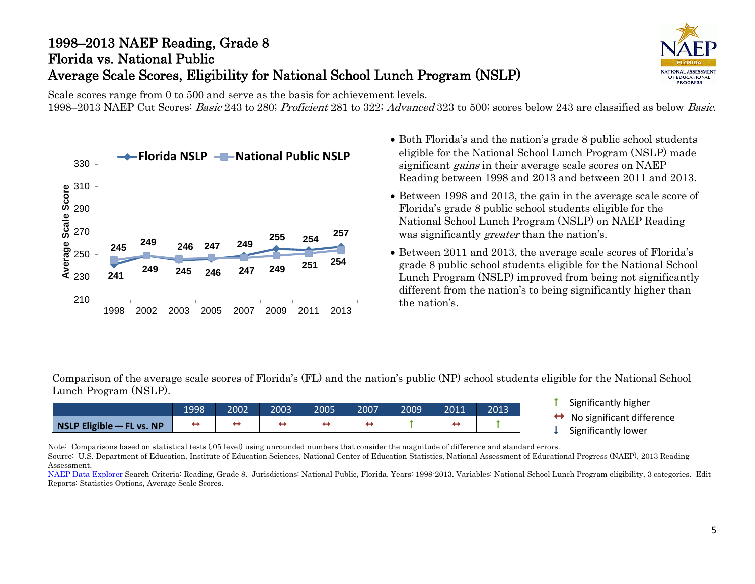# 1998–2013 NAEP Reading, Grade 8 Florida vs. National Public Average Scale Scores, Eligibility for National School Lunch Program (NSLP)



Scale scores range from 0 to 500 and serve as the basis for achievement levels. 1998–2013 NAEP Cut Scores: Basic 243 to 280; Proficient 281 to 322; Advanced 323 to 500; scores below 243 are classified as below Basic.



- Both Florida's and the nation's grade 8 public school students eligible for the National School Lunch Program (NSLP) made significant *gains* in their average scale scores on NAEP Reading between 1998 and 2013 and between 2011 and 2013.
- Between 1998 and 2013, the gain in the average scale score of Florida's grade 8 public school students eligible for the National School Lunch Program (NSLP) on NAEP Reading was significantly *greater* than the nation's.
- Between 2011 and 2013, the average scale scores of Florida's grade 8 public school students eligible for the National School Lunch Program (NSLP) improved from being not significantly different from the nation's to being significantly higher than the nation's.

Comparison of the average scale scores of Florida's (FL) and the nation's public (NP) school students eligible for the National School Lunch Program (NSLP).

|                             | 1998 | 2002 | 2003 | 2005 | 2007 | 2009' | 2011 | 2013 |
|-----------------------------|------|------|------|------|------|-------|------|------|
| NSLP Eligible $-$ FL vs. NP |      |      |      |      |      |       |      |      |

- **1** Significantly higher
- $\leftrightarrow$  No significant difference<br>  $\downarrow$  Significantly lower
- 

Note: Comparisons based on statistical tests (.05 level) using unrounded numbers that consider the magnitude of difference and standard errors. Source: U.S. Department of Education, Institute of Education Sciences, National Center of Education Statistics, National Assessment of Educational Progress (NAEP), 2013 Reading Assessment.

[NAEP Data Explorer](http://nces.ed.gov/nationsreportcard/naepdata/) Search Criteria: Reading, Grade 8. Jurisdictions: National Public, Florida. Years: 1998-2013. Variables: National School Lunch Program eligibility, 3 categories. Edit Reports: Statistics Options, Average Scale Scores.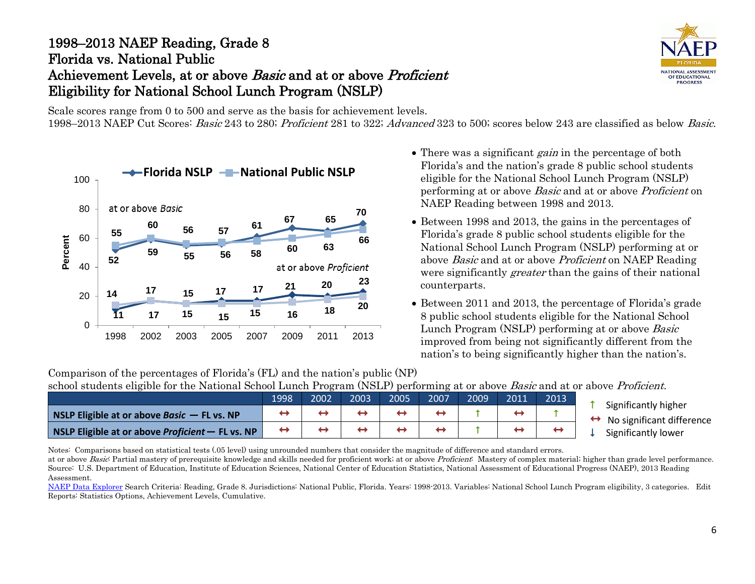## 1998–2013 NAEP Reading, Grade 8 Florida vs. National Public Achievement Levels, at or above *Basic* and at or above *Proficient* Eligibility for National School Lunch Program (NSLP)

NATIONAL ASSESSMENT OF EDUCATIONAL **PROGRESS** 

Scale scores range from 0 to 500 and serve as the basis for achievement levels.

1998–2013 NAEP Cut Scores: Basic 243 to 280; Proficient 281 to 322; Advanced 323 to 500; scores below 243 are classified as below Basic.



- There was a significant *gain* in the percentage of both Florida's and the nation's grade 8 public school students eligible for the National School Lunch Program (NSLP) performing at or above Basic and at or above Proficient on NAEP Reading between 1998 and 2013.
- Between 1998 and 2013, the gains in the percentages of Florida's grade 8 public school students eligible for the National School Lunch Program (NSLP) performing at or above Basic and at or above Proficient on NAEP Reading were significantly *greater* than the gains of their national counterparts.
- Between 2011 and 2013, the percentage of Florida's grade 8 public school students eligible for the National School Lunch Program (NSLP) performing at or above Basic improved from being not significantly different from the nation's to being significantly higher than the nation's.

Comparison of the percentages of Florida's (FL) and the nation's public (NP) school students eligible for the National School Lunch Program (NSLP) performing at or above Basic and at or above Proficient.

|                                                                 | 1998 | 2002 | 2003 | 2005 | 2007 | 2009 | 2011 | 2013 | Significantly higher           |
|-----------------------------------------------------------------|------|------|------|------|------|------|------|------|--------------------------------|
| <b>NSLP Eligible at or above Basic <math>-</math> FL vs. NP</b> |      |      |      |      |      |      |      |      | No significant difference<br>↔ |
| <b>NSLP Eligible at or above Proficient – FL vs. NP</b>         | ↔    |      |      |      |      |      |      |      | Significantly lower            |

Notes: Comparisons based on statistical tests (.05 level) using unrounded numbers that consider the magnitude of difference and standard errors.

at or above Basic Partial mastery of prerequisite knowledge and skills needed for proficient work; at or above Proficient: Mastery of complex material; higher than grade level performance. Source: U.S. Department of Education, Institute of Education Sciences, National Center of Education Statistics, National Assessment of Educational Progress (NAEP), 2013 Reading Assessment.

[NAEP Data Explorer](http://nces.ed.gov/nationsreportcard/naepdata/) Search Criteria: Reading, Grade 8. Jurisdictions: National Public, Florida. Years: 1998-2013. Variables: National School Lunch Program eligibility, 3 categories. Edit Reports: Statistics Options, Achievement Levels, Cumulative.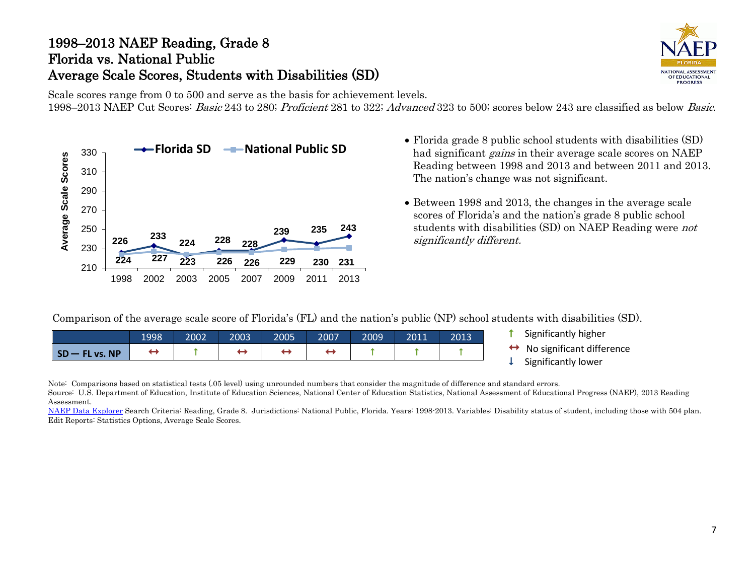## 1998–2013 NAEP Reading, Grade 8 Florida vs. National Public Average Scale Scores, Students with Disabilities (SD)



Scale scores range from 0 to 500 and serve as the basis for achievement levels. 1998–2013 NAEP Cut Scores: Basic 243 to 280; Proficient 281 to 322; Advanced 323 to 500; scores below 243 are classified as below Basic.



- **Formular Superior Concept Concept Concept** Florida grade 8 public school students with disabilities (SD)<br>
► Florida SD National Public SD had cignificant gains their avance scale scenes on NAED had significant *gains* in their average scale scores on NAEP Reading between 1998 and 2013 and between 2011 and 2013. The nation's change was not significant.
	- Between 1998 and 2013, the changes in the average scale scores of Florida's and the nation's grade 8 public school students with disabilities (SD) on NAEP Reading were not significantly different.

Comparison of the average scale score of Florida's (FL) and the nation's public (NP) school students with disabilities (SD).

|              | 1998 | 2002 | 2003 | 2005 | 2007 | 2009 | 2011 | 2013 |
|--------------|------|------|------|------|------|------|------|------|
| SD-FL vs. NP |      |      |      |      |      |      |      |      |

- $\uparrow$  Significantly higher
- $\leftrightarrow$  No significant difference<br>  $\downarrow$  Significantly lower
- 

Note: Comparisons based on statistical tests (.05 level) using unrounded numbers that consider the magnitude of difference and standard errors. Source: U.S. Department of Education, Institute of Education Sciences, National Center of Education Statistics, National Assessment of Educational Progress (NAEP), 2013 Reading Assessment.

[NAEP Data Explorer](http://nces.ed.gov/nationsreportcard/naepdata/) Search Criteria: Reading, Grade 8. Jurisdictions: National Public, Florida. Years: 1998-2013. Variables: Disability status of student, including those with 504 plan. Edit Reports: Statistics Options, Average Scale Scores.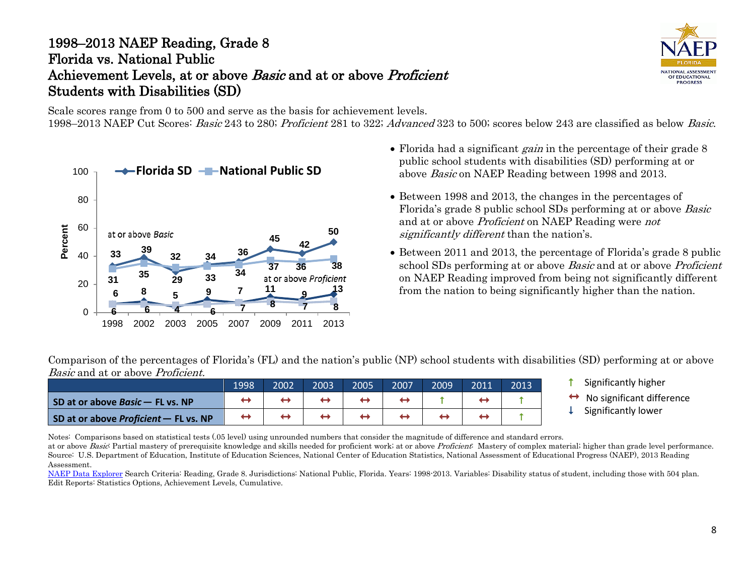## 1998–2013 NAEP Reading, Grade 8 Florida vs. National Public Achievement Levels, at or above Basic and at or above Proficient Students with Disabilities (SD)

NATIONAL ASSESSMENT OF EDUCATIONAL **PROGRESS** 

Scale scores range from 0 to 500 and serve as the basis for achievement levels. 1998–2013 NAEP Cut Scores: Basic 243 to 280; Proficient 281 to 322; Advanced 323 to 500; scores below 243 are classified as below Basic.



- Florida had a significant *gain* in the percentage of their grade 8 public school students with disabilities (SD) performing at or above Basic on NAEP Reading between 1998 and 2013.
- Between 1998 and 2013, the changes in the percentages of Florida's grade 8 public school SDs performing at or above Basic and at or above Proficient on NAEP Reading were not significantly different than the nation's.
- Between 2011 and 2013, the percentage of Florida's grade 8 public school SDs performing at or above *Basic* and at or above *Proficient* on NAEP Reading improved from being not significantly different from the nation to being significantly higher than the nation.

Comparison of the percentages of Florida's (FL) and the nation's public (NP) school students with disabilities (SD) performing at or above Basic and at or above Proficient.

|                                       | 1998 | 2002 | 2003 | 2005 | 2007 | 2009 | 2013 |
|---------------------------------------|------|------|------|------|------|------|------|
| SD at or above Basic - FL vs. NP      |      |      |      |      |      |      |      |
| SD at or above Proficient - FL vs. NP |      |      |      |      |      |      |      |

- **1** Significantly higher
- $\leftrightarrow$  No significant difference<br>  $\downarrow$  Significantly lower
- 

Notes: Comparisons based on statistical tests (.05 level) using unrounded numbers that consider the magnitude of difference and standard errors.

at or above Basic Partial mastery of prerequisite knowledge and skills needed for proficient work; at or above Proficient: Mastery of complex material; higher than grade level performance. Source: U.S. Department of Education, Institute of Education Sciences, National Center of Education Statistics, National Assessment of Educational Progress (NAEP), 2013 Reading Assessment.

[NAEP Data Explorer](http://nces.ed.gov/nationsreportcard/naepdata/) Search Criteria: Reading, Grade 8. Jurisdictions: National Public, Florida. Years: 1998-2013. Variables: Disability status of student, including those with 504 plan. Edit Reports: Statistics Options, Achievement Levels, Cumulative.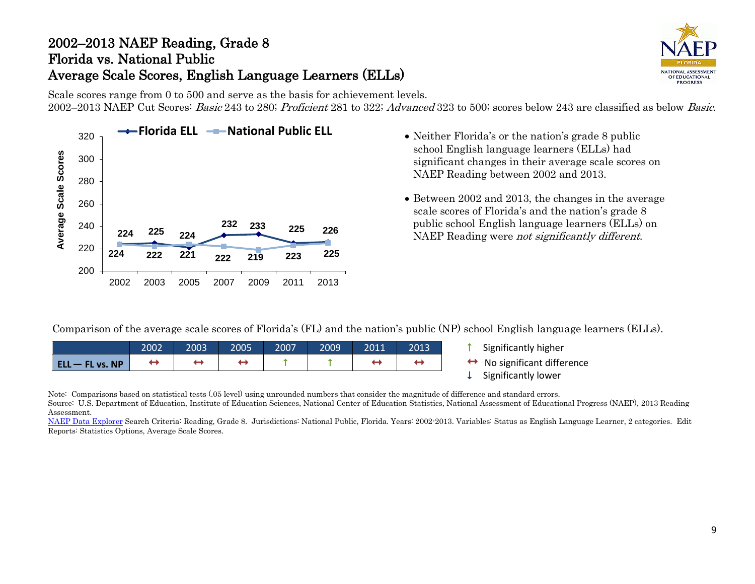# 2002–2013 NAEP Reading, Grade 8 Florida vs. National Public Average Scale Scores, English Language Learners (ELLs)



Scale scores range from 0 to 500 and serve as the basis for achievement levels. 2002–2013 NAEP Cut Scores: Basic 243 to 280; Proficient 281 to 322; Advanced 323 to 500; scores below 243 are classified as below Basic.



- school English language learners (ELLs) had significant changes in their average scale scores on NAEP Reading between 2002 and 2013.
- Between 2002 and 2013, the changes in the average scale scores of Florida's and the nation's grade 8 public school English language learners (ELLs) on NAEP Reading were not significantly different.

Comparison of the average scale scores of Florida's (FL) and the nation's public (NP) school English language learners (ELLs).

|                   | 2002 | 2003 | 2005 | 2007 | 2009 | 2011 | 2013 |
|-------------------|------|------|------|------|------|------|------|
| $ELL - FL vs. NP$ |      |      |      |      |      |      |      |

- $\uparrow$  Significantly higher
- $\leftrightarrow$  No significant difference<br>  $\downarrow$  Significantly lower
- 

Note: Comparisons based on statistical tests (.05 level) using unrounded numbers that consider the magnitude of difference and standard errors.

Source: U.S. Department of Education, Institute of Education Sciences, National Center of Education Statistics, National Assessment of Educational Progress (NAEP), 2013 Reading Assessment.

[NAEP Data Explorer](http://nces.ed.gov/nationsreportcard/naepdata/) Search Criteria: Reading, Grade 8. Jurisdictions: National Public, Florida. Years: 2002-2013. Variables: Status as English Language Learner, 2 categories. Edit Reports: Statistics Options, Average Scale Scores.